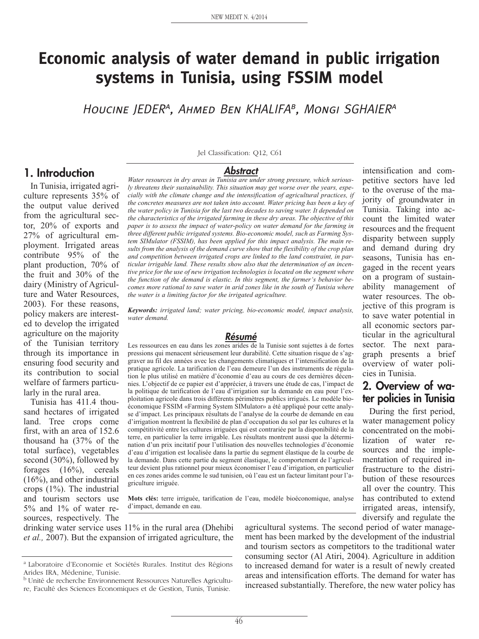# **Economic analysis of water demand in public irrigation systems in Tunisia, using FSSIM model**

HOUCINE JEDER<sup>A</sup>, AHMED BEN KHALIFA<sup>B</sup>, MONGI SGHAIER<sup>A</sup>

## **1. Introduction**

In Tunisia, irrigated agriculture represents 35% of the output value derived from the agricultural sector, 20% of exports and 27% of agricultural employment. Irrigated areas contribute 95% of the plant production, 70% of the fruit and 30% of the dairy (Ministry of Agriculture and Water Resources, 2003). For these reasons, policy makers are interested to develop the irrigated agriculture on the majority of the Tunisian territory through its importance in ensuring food security and its contribution to social welfare of farmers particularly in the rural area.

Tunisia has 411.4 thousand hectares of irrigated land. Tree crops come first, with an area of 152.6 thousand ha (37% of the total surface), vegetables second (30%), followed by forages (16%), cereals (16%), and other industrial crops (1%). The industrial and tourism sectors use 5% and 1% of water resources, respectively. The

Jel Classification: Q12, C61

#### **Abstract**

*Water resources in dry areas in Tunisia are under strong pressure, which seriously threatens their sustainability. This situation may get worse over the years, especially with the climate change and the intensification of agricultural practices, if the concretes measures are not taken into account. Water pricing has been a key of the water policy in Tunisia for the last two decades to saving water. It depended on the characteristics of the irrigated farming in these dry areas. The objective of this paper is to assess the impact of water-policy on water demand for the farming in three different public irrigated systems. Bio-economic model, such as Farming System SIMulator (FSSIM), has been applied for this impact analysis. The main results from the analysis of the demand curve show that the flexibility of the crop plan and competition between irrigated crops are linked to the land constraint, in particular irrigable land. These results show also that the determination of an incentive price for the use of new irrigation technologies is located on the segment where the function of the demand is elastic. In this segment, the farmer's behavior becomes more rational to save water in arid zones like in the south of Tunisia where the water is a limiting factor for the irrigated agriculture.*

*Keywords: irrigated land; water pricing, bio-economic model, impact analysis, water demand.*

#### **Résumé**

Les ressources en eau dans les zones arides de la Tunisie sont sujettes à de fortes pressions qui menacent sérieusement leur durabilité. Cette situation risque de s'aggraver au fil des années avec les changements climatiques et l'intensification de la pratique agricole. La tarification de l'eau demeure l'un des instruments de régulation le plus utilisé en matière d'économie d'eau au cours de ces dernières décennies. L'objectif de ce papier est d'apprécier, à travers une étude de cas, l'impact de la politique de tarification de l'eau d'irrigation sur la demande en eau pour l'exploitation agricole dans trois différents périmètres publics irrigués. Le modèle bioéconomique FSSIM «Farming System SIMulator» a été appliqué pour cette analyse d'impact. Les principaux résultats de l'analyse de la courbe de demande en eau d'irrigation montrent la flexibilité de plan d'occupation du sol par les cultures et la compétitivité entre les cultures irriguées qui est contrariée par la disponibilité de la terre, en particulier la terre irrigable. Les résultats montrent aussi que la détermination d'un prix incitatif pour l'utilisation des nouvelles technologies d'économie d'eau d'irrigation est localisée dans la partie du segment élastique de la courbe de la demande. Dans cette partie du segment élastique, le comportement de l'agriculteur devient plus rationnel pour mieux économiser l'eau d'irrigation, en particulier en ces zones arides comme le sud tunisien, où l'eau est un facteur limitant pour l'agriculture irriguée.

**Mots clés:** terre irriguée, tarification de l'eau, modèle bioéconomique, analyse d'impact, demande en eau.

drinking water service uses 11% in the rural area (Dhehibi *et al.,* 2007). But the expansion of irrigated agriculture, the

agricultural systems. The second period of water management has been marked by the development of the industrial and tourism sectors as competitors to the traditional water consuming sector (Al Atiri, 2004). Agriculture in addition to increased demand for water is a result of newly created areas and intensification efforts. The demand for water has increased substantially. Therefore, the new water policy has

intensification and competitive sectors have led to the overuse of the majority of groundwater in Tunisia. Taking into account the limited water resources and the frequent disparity between supply and demand during dry seasons, Tunisia has engaged in the recent years on a program of sustainability management of water resources. The objective of this program is to save water potential in all economic sectors particular in the agricultural sector. The next paragraph presents a brief overview of water policies in Tunisia.

## **2. Overview of wa ter policies in Tunisia**

During the first period, water management policy concentrated on the mobilization of water resources and the implementation of required infrastructure to the distribution of these resources all over the country. This has contributed to extend irrigated areas, intensify, diversify and regulate the

a Laboratoire d'Economie et Sociétés Rurales. Institut des Régions Arides IRA, Médenine, Tunisie.

b Unité de recherche Environnement Ressources Naturelles Agriculture, Faculté des Sciences Economiques et de Gestion, Tunis, Tunisie.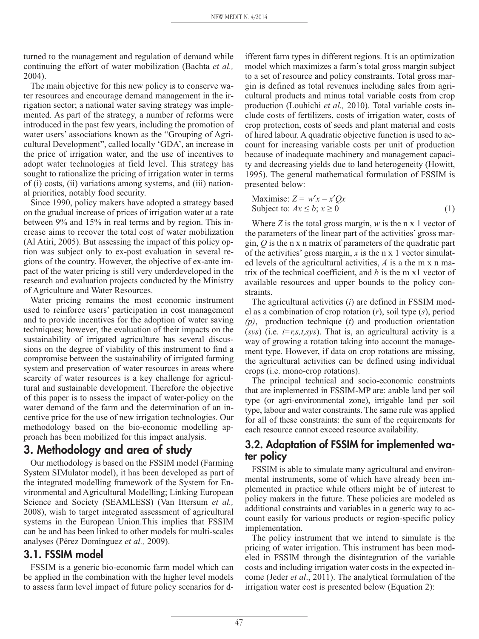turned to the management and regulation of demand while continuing the effort of water mobilization (Bachta *et al.,* 2004).

The main objective for this new policy is to conserve water resources and encourage demand management in the irrigation sector; a national water saving strategy was implemented. As part of the strategy, a number of reforms were introduced in the past few years, including the promotion of water users' associations known as the "Grouping of Agricultural Development", called locally 'GDA', an increase in the price of irrigation water, and the use of incentives to adopt water technologies at field level. This strategy has sought to rationalize the pricing of irrigation water in terms of (i) costs, (ii) variations among systems, and (iii) national priorities, notably food security.

Since 1990, policy makers have adopted a strategy based on the gradual increase of prices of irrigation water at a rate between 9% and 15% in real terms and by region. This increase aims to recover the total cost of water mobilization (Al Atiri, 2005). But assessing the impact of this policy option was subject only to ex-post evaluation in several regions of the country. However, the objective of ex-ante impact of the water pricing is still very underdeveloped in the research and evaluation projects conducted by the Ministry of Agriculture and Water Resources.

Water pricing remains the most economic instrument used to reinforce users' participation in cost management and to provide incentives for the adoption of water saving techniques; however, the evaluation of their impacts on the sustainability of irrigated agriculture has several discussions on the degree of viability of this instrument to find a compromise between the sustainability of irrigated farming system and preservation of water resources in areas where scarcity of water resources is a key challenge for agricultural and sustainable development. Therefore the objective of this paper is to assess the impact of water-policy on the water demand of the farm and the determination of an incentive price for the use of new irrigation technologies. Our methodology based on the bio-economic modelling approach has been mobilized for this impact analysis.

# **3. Methodology and area of study**

Our methodology is based on the FSSIM model (Farming System SIMulator model), it has been developed as part of the integrated modelling framework of the System for Environmental and Agricultural Modelling; Linking European Science and Society (SEAMLESS) (Van Ittersum *et al.,* 2008), wish to target integrated assessment of agricultural systems in the European Union.This implies that FSSIM can be and has been linked to other models for multi-scales analyses (Pérez Domínguez *et al.,* 2009).

## **3.1. FSSIM model**

FSSIM is a generic bio-economic farm model which can be applied in the combination with the higher level models to assess farm level impact of future policy scenarios for d-

ifferent farm types in different regions. It is an optimization model which maximizes a farm's total gross margin subject to a set of resource and policy constraints. Total gross margin is defined as total revenues including sales from agricultural products and minus total variable costs from crop production (Louhichi *et al.,* 2010). Total variable costs include costs of fertilizers, costs of irrigation water, costs of crop protection, costs of seeds and plant material and costs of hired labour. A quadratic objective function is used to account for increasing variable costs per unit of production because of inadequate machinery and management capacity and decreasing yields due to land heterogeneity (Howitt, 1995). The general mathematical formulation of FSSIM is presented below:

$$
\begin{aligned}\n\text{Maximise: } Z &= w'x - x'Qx \\
\text{Subject to: } Ax &\leq b; x \geq 0\n\end{aligned} \tag{1}
$$

Where *Z* is the total gross margin, *w* is the n x 1 vector of the parameters of the linear part of the activities' gross margin, *Q* is the n x n matrix of parameters of the quadratic part of the activities' gross margin, *x* is the n x 1 vector simulated levels of the agricultural activities, *A* is a the m x n matrix of the technical coefficient, and *b* is the m x1 vector of available resources and upper bounds to the policy constraints.

The agricultural activities (*i*) are defined in FSSIM model as a combination of crop rotation (*r*), soil type (*s*), period *(p)*, production technique (*t*) and production orientation  $(sys)$  (i.e.  $i=r,s,t,sys$ ). That is, an agricultural activity is a way of growing a rotation taking into account the management type. However, if data on crop rotations are missing, the agricultural activities can be defined using individual crops (i.e. mono-crop rotations).

The principal technical and socio-economic constraints that are implemented in FSSIM-MP are: arable land per soil type (or agri-environmental zone), irrigable land per soil type, labour and water constraints. The same rule was applied for all of these constraints: the sum of the requirements for each resource cannot exceed resource availability.

## **3.2. Adaptation of FSSIM for implemented water policy**

FSSIM is able to simulate many agricultural and environmental instruments, some of which have already been implemented in practice while others might be of interest to policy makers in the future. These policies are modeled as additional constraints and variables in a generic way to account easily for various products or region-specific policy implementation.

The policy instrument that we intend to simulate is the pricing of water irrigation. This instrument has been modeled in FSSIM through the disintegration of the variable costs and including irrigation water costs in the expected income (Jeder *et al*., 2011). The analytical formulation of the irrigation water cost is presented below (Equation 2):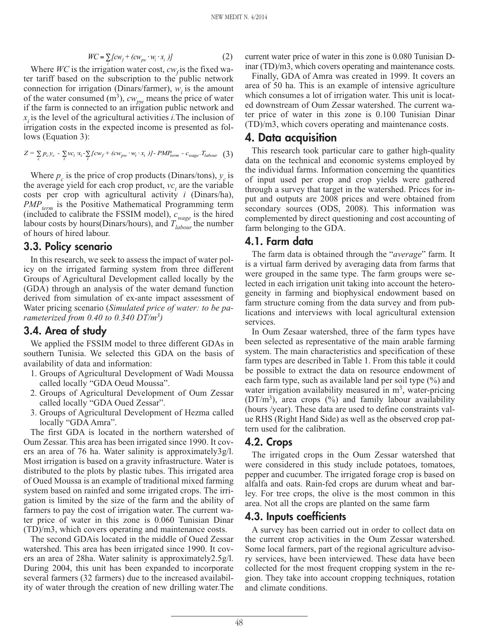$$
WC = \sum_{i} [cw_{f} + (cw_{pw} \cdot w_{i} \cdot x_{i})]
$$
 (2)

Where *WC* is the irrigation water cost,  $cw_f$  is the fixed water tariff based on the subscription to the public network connection for irrigation (Dinars/farmer),  $w_i$  is the amount of the water consumed  $(m^3)$ ,  $cw_{pw}$  means the price of water if the farm is connected to an irrigation public network and *xi* is the level of the agricultural activities *i.*The inclusion of irrigation costs in the expected income is presented as follows (Equation 3):

$$
Z = \sum_{c} p_c y_c - \sum_{i} v c_i x_i - \sum_{i} [cw_f + (cw_{pw} \cdot w_i \cdot x_i )] - PMP_{term} - c_{wage} \cdot T_{labour} \quad (3)
$$

Where  $p_c$  is the price of crop products (Dinars/tons),  $y_c$  is the average yield for each crop product,  $vc<sub>i</sub>$  are the variable costs per crop with agricultural activity *i* (Dinars/ha), *PMP<sub>term</sub>* is the Positive Mathematical Programming term (included to calibrate the FSSIM model), *c wage* is the hired labour costs by hours(Dinars/hours), and  $T_{\text{labour}}$  the number of hours of hired labour.

#### **3.3. Policy scenario**

In this research, we seek to assess the impact of water policy on the irrigated farming system from three different Groups of Agricultural Development called locally by the (GDA) through an analysis of the water demand function derived from simulation of ex-ante impact assessment of Water pricing scenario (*Simulated price of water: to be parameterized from 0.40 to 0.340 DT/m3)*

#### **3.4. Area of study**

We applied the FSSIM model to three different GDAs in southern Tunisia. We selected this GDA on the basis of availability of data and information:

- 1. Groups of Agricultural Development of Wadi Moussa called locally "GDA Oeud Moussa".
- 2. Groups of Agricultural Development of Oum Zessar called locally "GDA Oued Zessar".
- 3. Groups of Agricultural Development of Hezma called locally "GDA Amra".

The first GDA is located in the northern watershed of Oum Zessar. This area has been irrigated since 1990. It covers an area of 76 ha. Water salinity is approximately3g/l. Most irrigation is based on a gravity infrastructure. Water is distributed to the plots by plastic tubes. This irrigated area of Oued Moussa is an example of traditional mixed farming system based on rainfed and some irrigated crops. The irrigation is limited by the size of the farm and the ability of farmers to pay the cost of irrigation water. The current water price of water in this zone is 0.060 Tunisian Dinar (TD)/m3, which covers operating and maintenance costs.

The second GDAis located in the middle of Oued Zessar watershed. This area has been irrigated since 1990. It covers an area of 28ha. Water salinity is approximately2.5g/l. During 2004, this unit has been expanded to incorporate several farmers (32 farmers) due to the increased availability of water through the creation of new drilling water.The current water price of water in this zone is 0.080 Tunisian Dinar (TD)/m3, which covers operating and maintenance costs.

Finally, GDA of Amra was created in 1999. It covers an area of 50 ha. This is an example of intensive agriculture which consumes a lot of irrigation water. This unit is located downstream of Oum Zessar watershed. The current water price of water in this zone is 0.100 Tunisian Dinar (TD)/m3, which covers operating and maintenance costs.

## **4. Data acquisition**

This research took particular care to gather high-quality data on the technical and economic systems employed by the individual farms. Information concerning the quantities of input used per crop and crop yields were gathered through a survey that target in the watershed. Prices for input and outputs are 2008 prices and were obtained from secondary sources (ODS, 2008). This information was complemented by direct questioning and cost accounting of farm belonging to the GDA.

#### **4.1. Farm data**

The farm data is obtained through the "*average*" farm. It is a virtual farm derived by averaging data from farms that were grouped in the same type. The farm groups were selected in each irrigation unit taking into account the heterogeneity in farming and biophysical endowment based on farm structure coming from the data survey and from publications and interviews with local agricultural extension services.

In Oum Zesaar watershed, three of the farm types have been selected as representative of the main arable farming system. The main characteristics and specification of these farm types are described in Table 1. From this table it could be possible to extract the data on resource endowment of each farm type, such as available land per soil type (%) and water irrigation availability measured in  $m<sup>3</sup>$ , water-pricing  $(DT/m<sup>3</sup>)$ , area crops  $(\%)$  and family labour availability (hours /year). These data are used to define constraints value RHS (Right Hand Side) as well as the observed crop pattern used for the calibration.

### **4.2. Crops**

The irrigated crops in the Oum Zessar watershed that were considered in this study include potatoes, tomatoes, pepper and cucumber. The irrigated forage crop is based on alfalfa and oats. Rain-fed crops are durum wheat and barley. For tree crops, the olive is the most common in this area. Not all the crops are planted on the same farm

### **4.3. Inputs coefficients**

A survey has been carried out in order to collect data on the current crop activities in the Oum Zessar watershed. Some local farmers, part of the regional agriculture advisory services, have been interviewed. These data have been collected for the most frequent cropping system in the region. They take into account cropping techniques, rotation and climate conditions.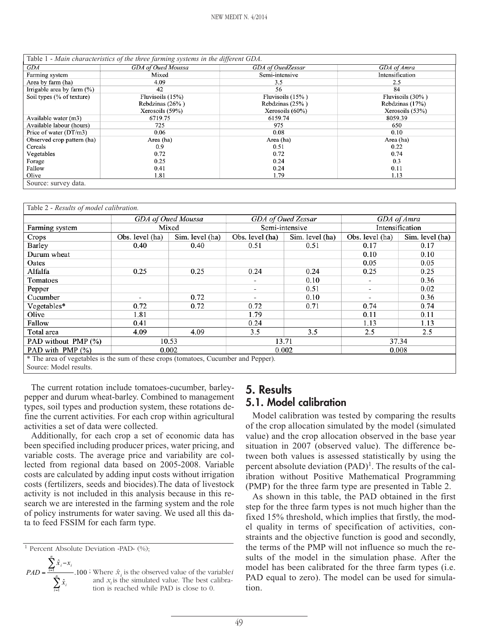| Table 1 - Main characteristics of the three farming systems in the different GDA. |                    |                                  |                  |  |  |
|-----------------------------------------------------------------------------------|--------------------|----------------------------------|------------------|--|--|
| GDA                                                                               | GDA of Oued Moussa | GDA of OuedZessar<br>GDA of Amra |                  |  |  |
| Farming system                                                                    | Mixed              | Semi-intensive                   | Intensification  |  |  |
| Area by farm (ha)                                                                 | 4.09               | 3.5                              | 2.5              |  |  |
| Irrigable area by farm $(\%)$                                                     | 42                 | 56                               | 84               |  |  |
| Soil types (% of texture)                                                         | Fluvisoils $(15%)$ | Fluvisoils $(15\%)$              | Fluvisoils (30%) |  |  |
|                                                                                   | Rebdzinas (26%)    | Rebdzinas (25%)                  | Rebdzinas (17%)  |  |  |
|                                                                                   | Xerosoils (59%)    | Xerosoils $(60\%)$               | Xerosoils (53%)  |  |  |
| Available water (m3)                                                              | 6719.75            | 6159.74                          | 8059.39          |  |  |
| Available labour (hours)                                                          | 725                | 975                              | 650              |  |  |
| Price of water (DT/m3)                                                            | 0.06               | 0.08                             | 0.10             |  |  |
| Observed crop pattern (ha)                                                        | Area (ha)          | Area (ha)                        | Area (ha)        |  |  |
| Cereals                                                                           | 0.9                | 0.51                             | 0.22             |  |  |
| Vegetables                                                                        | 0.72               | 0.72                             | 0.74             |  |  |
| Forage                                                                            | 0.25               | 0.24                             | 0.3              |  |  |
| Fallow                                                                            | 0.41               | 0.24                             | 0.11             |  |  |
| Olive                                                                             | 1.81               | 1.79                             | 1.13             |  |  |
| Source: survey data.                                                              |                    |                                  |                  |  |  |

Table 2 - *Results of model calibration.*

|                                                                                     | GDA of Oued Zessar<br>GDA of Oued Moussa |                         | GDA of Amra              |                 |                          |                 |
|-------------------------------------------------------------------------------------|------------------------------------------|-------------------------|--------------------------|-----------------|--------------------------|-----------------|
| Farming system                                                                      |                                          | Semi-intensive<br>Mixed |                          | Intensification |                          |                 |
| Crops                                                                               | Obs. level (ha)                          | Sim. level (ha)         | Obs. level (ha)          | Sim. level (ha) | Obs. level (ha)          | Sim. level (ha) |
| Barley                                                                              | 0.40                                     | 0.40                    | 0.51                     | 0.51            | 0.17                     | 0.17            |
| Durum wheat                                                                         |                                          |                         |                          |                 | 0.10                     | 0.10            |
| Oates                                                                               |                                          |                         |                          |                 | 0.05                     | 0.05            |
| Alfalfa                                                                             | 0.25                                     | 0.25                    | 0.24                     | 0.24            | 0.25                     | 0.25            |
| Tomatoes                                                                            |                                          |                         | $\overline{\phantom{a}}$ | 0.10            | $\overline{\phantom{0}}$ | 0.36            |
| Pepper                                                                              |                                          |                         | ٠                        | 0.51            | ۰                        | 0.02            |
| Cucumber                                                                            | ۰                                        | 0.72                    | ۰                        | 0.10            | ٠                        | 0.36            |
| Vegetables*                                                                         | 0.72                                     | 0.72                    | 0.72                     | 0.71            | 0.74                     | 0.74            |
| Olive                                                                               | 1.81                                     |                         | 1.79                     |                 | 0.11                     | 0.11            |
| Fallow                                                                              | 0.41                                     |                         | 0.24                     |                 | 1.13                     | 1.13            |
| Total area                                                                          | 4.09                                     | 4.09                    | 3.5                      | 3.5             | 2.5                      | 2.5             |
| PAD without PMP (%)                                                                 | 10.53                                    |                         | 13.71                    |                 | 37.34                    |                 |
| PAD with PMP (%)                                                                    | 0.002                                    |                         | 0.002                    |                 | 0.008                    |                 |
| * The area of vegetables is the sum of these crops (tomatoes, Cucumber and Pepper). |                                          |                         |                          |                 |                          |                 |

Source: Model results.

The current rotation include tomatoes-cucumber, barleypepper and durum wheat-barley. Combined to management types, soil types and production system, these rotations define the current activities. For each crop within agricultural activities a set of data were collected.

Additionally, for each crop a set of economic data has been specified including producer prices, water pricing, and variable costs. The average price and variability are collected from regional data based on 2005-2008. Variable costs are calculated by adding input costs without irrigation costs (fertilizers, seeds and biocides).The data of livestock activity is not included in this analysis because in this research we are interested in the farming system and the role of policy instruments for water saving. We used all this data to feed FSSIM for each farm type.

*n*

$$
PAD = \frac{\sum_{i=1} \hat{x}_i - x_i}{\sum_{i=1}^n \hat{x}_i}
$$
.100: Where  $\hat{x}_i$  is the observed value of the variable *i* and  $x_i$  is the simulated value. The best calibration is reached while PAD is close to 0.

**5. Results 5.1. Model calibration**

Model calibration was tested by comparing the results of the crop allocation simulated by the model (simulated value) and the crop allocation observed in the base year situation in 2007 (observed value). The difference between both values is assessed statistically by using the percent absolute deviation (PAD)<sup>1</sup>. The results of the calibration without Positive Mathematical Programming (PMP) for the three farm type are presented in Table 2.

As shown in this table, the PAD obtained in the first step for the three farm types is not much higher than the fixed 15% threshold, which implies that firstly, the model quality in terms of specification of activities, constraints and the objective function is good and secondly, the terms of the PMP will not influence so much the results of the model in the simulation phase. After the model has been calibrated for the three farm types (i.e. PAD equal to zero). The model can be used for simulation.

The best calibraclose to 0.

<sup>&</sup>lt;sup>1</sup> Percent Absolute Deviation «PAD» (%);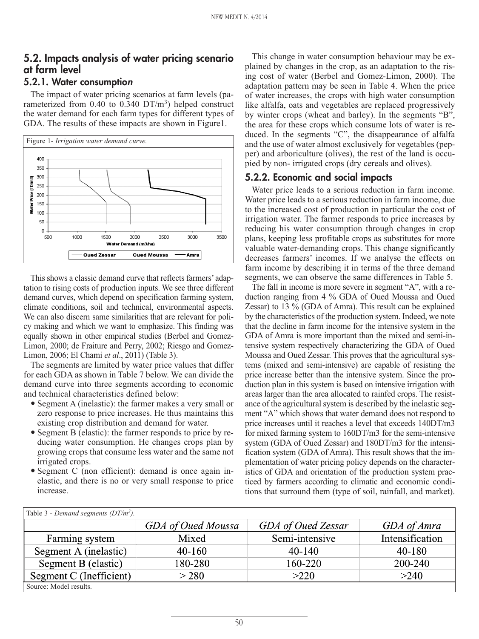## **5.2. Impacts analysis of water pricing scenario at farm level**

## **5.2.1. Water consumptio<sup>n</sup>**

The impact of water pricing scenarios at farm levels (parameterized from  $0.40$  to  $0.340$  DT/m<sup>3</sup>) helped construct the water demand for each farm types for different types of GDA. The results of these impacts are shown in Figure1.



This shows a classic demand curve that reflects farmers' adaptation to rising costs of production inputs. We see three different demand curves, which depend on specification farming system, climate conditions, soil and technical, environmental aspects. We can also discern same similarities that are relevant for policy making and which we want to emphasize. This finding was equally shown in other empirical studies (Berbel and Gomez-Limon, 2000; de Fraiture and Perry, 2002; Riesgo and Gomez-Limon, 2006; El Chami *et al*., 2011) (Table 3).

The segments are limited by water price values that differ for each GDA as shown in Table 7 below. We can divide the demand curve into three segments according to economic and technical characteristics defined below:

- Segment A (inelastic): the farmer makes a very small or zero response to price increases. He thus maintains this existing crop distribution and demand for water.
- Segment B (elastic): the farmer responds to price by reducing water consumption. He changes crops plan by growing crops that consume less water and the same not irrigated crops.
- Segment C (non efficient): demand is once again inelastic, and there is no or very small response to price increase.

This change in water consumption behaviour may be explained by changes in the crop, as an adaptation to the rising cost of water (Berbel and Gomez-Limon, 2000). The adaptation pattern may be seen in Table 4. When the price of water increases, the crops with high water consumption like alfalfa, oats and vegetables are replaced progressively by winter crops (wheat and barley). In the segments "B", the area for these crops which consume lots of water is reduced. In the segments "C", the disappearance of alfalfa and the use of water almost exclusively for vegetables (pepper) and arboriculture (olives), the rest of the land is occupied by non- irrigated crops (dry cereals and olives).

## **5.2.2. Economic and social impacts**

Water price leads to a serious reduction in farm income. Water price leads to a serious reduction in farm income, due to the increased cost of production in particular the cost of irrigation water. The farmer responds to price increases by reducing his water consumption through changes in crop plans, keeping less profitable crops as substitutes for more valuable water-demanding crops. This change significantly decreases farmers' incomes. If we analyse the effects on farm income by describing it in terms of the three demand segments, we can observe the same differences in Table 5.

The fall in income is more severe in segment "A", with a reduction ranging from 4 % GDA of Oued Moussa and Oued Zessar) to 13 % (GDA of Amra). This result can be explained by the characteristics of the production system. Indeed, we note that the decline in farm income for the intensive system in the GDA of Amra is more important than the mixed and semi-intensive system respectively characterizing the GDA of Oued Moussa and Oued Zessar. This proves that the agricultural systems (mixed and semi-intensive) are capable of resisting the price increase better than the intensive system. Since the production plan in this system is based on intensive irrigation with areas larger than the area allocated to rainfed crops. The resistance of the agricultural system is described by the inelastic segment "A" which shows that water demand does not respond to price increases until it reaches a level that exceeds 140DT/m3 for mixed farming system to 160DT/m3 for the semi-intensive system (GDA of Oued Zessar) and 180DT/m3 for the intensification system (GDA of Amra). This result shows that the implementation of water pricing policy depends on the characteristics of GDA and orientation of the production system practiced by farmers according to climatic and economic conditions that surround them (type of soil, rainfall, and market).

| Table 3 - Demand segments ( $DT/m^3$ ). |                    |                    |                 |  |  |  |
|-----------------------------------------|--------------------|--------------------|-----------------|--|--|--|
|                                         | GDA of Oued Moussa | GDA of Oued Zessar | GDA of Amra     |  |  |  |
| Farming system                          | Mixed              | Semi-intensive     | Intensification |  |  |  |
| Segment A (inelastic)                   | $40 - 160$         | $40 - 140$         | $40 - 180$      |  |  |  |
| Segment B (elastic)                     | 180-280            | 160-220            | 200-240         |  |  |  |
| Segment C (Inefficient)                 | > 280              | >220               | >240            |  |  |  |
| Source: Model results.                  |                    |                    |                 |  |  |  |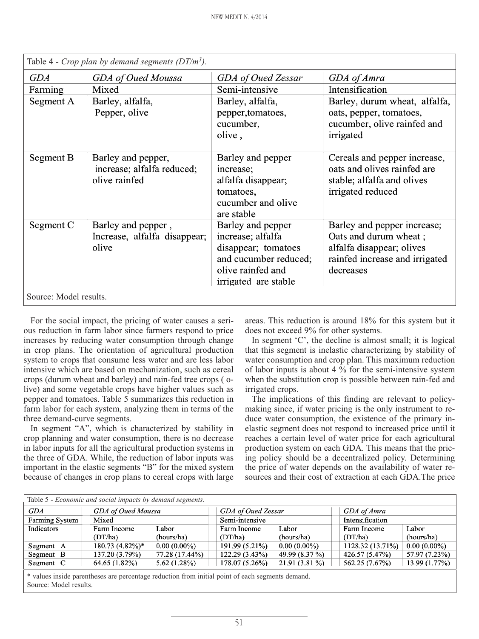| Table 4 - Crop plan by demand segments ( $DT/m^3$ ). |                                                                   |                                                                                                                                     |                                                                                                                                  |  |  |
|------------------------------------------------------|-------------------------------------------------------------------|-------------------------------------------------------------------------------------------------------------------------------------|----------------------------------------------------------------------------------------------------------------------------------|--|--|
| <b>GDA</b>                                           | GDA of Oued Moussa                                                | GDA of Oued Zessar                                                                                                                  | GDA of Amra                                                                                                                      |  |  |
| Farming                                              | Mixed                                                             | Semi-intensive                                                                                                                      | Intensification                                                                                                                  |  |  |
| Segment A                                            | Barley, alfalfa,<br>Pepper, olive                                 | Barley, alfalfa,<br>pepper, tomatoes,<br>cucumber,<br>olive,                                                                        | Barley, durum wheat, alfalfa,<br>oats, pepper, tomatoes,<br>cucumber, olive rainfed and<br>irrigated                             |  |  |
| Segment B                                            | Barley and pepper,<br>increase; alfalfa reduced;<br>olive rainfed | Barley and pepper<br>increase;<br>alfalfa disappear;<br>tomatoes,<br>cucumber and olive<br>are stable                               | Cereals and pepper increase,<br>oats and olives rainfed are<br>stable; alfalfa and olives<br>irrigated reduced                   |  |  |
| Segment C                                            | Barley and pepper,<br>Increase, alfalfa disappear;<br>olive       | Barley and pepper<br>increase; alfalfa<br>disappear; tomatoes<br>and cucumber reduced;<br>olive rainfed and<br>irrigated are stable | Barley and pepper increase;<br>Oats and durum wheat;<br>alfalfa disappear; olives<br>rainfed increase and irrigated<br>decreases |  |  |
| Source: Model results.                               |                                                                   |                                                                                                                                     |                                                                                                                                  |  |  |

Table 4 - *Crop plan by demand segments (DT/m3).*

For the social impact, the pricing of water causes a serious reduction in farm labor since farmers respond to price increases by reducing water consumption through change in crop plans. The orientation of agricultural production system to crops that consume less water and are less labor intensive which are based on mechanization, such as cereal crops (durum wheat and barley) and rain-fed tree crops ( olive) and some vegetable crops have higher values such as pepper and tomatoes. Table 5 summarizes this reduction in farm labor for each system, analyzing them in terms of the three demand-curve segments.

In segment "A", which is characterized by stability in crop planning and water consumption, there is no decrease in labor inputs for all the agricultural production systems in the three of GDA. While, the reduction of labor inputs was important in the elastic segments "B" for the mixed system because of changes in crop plans to cereal crops with large areas. This reduction is around 18% for this system but it does not exceed 9% for other systems.

In segment 'C', the decline is almost small; it is logical that this segment is inelastic characterizing by stability of water consumption and crop plan. This maximum reduction of labor inputs is about 4 % for the semi-intensive system when the substitution crop is possible between rain-fed and irrigated crops.

The implications of this finding are relevant to policymaking since, if water pricing is the only instrument to reduce water consumption, the existence of the primary inelastic segment does not respond to increased price until it reaches a certain level of water price for each agricultural production system on each GDA. This means that the pricing policy should be a decentralized policy. Determining the price of water depends on the availability of water resources and their cost of extraction at each GDA.The price

| Table 5 - Economic and social impacts by demand segments. |                    |                |                    |                 |                  |                |
|-----------------------------------------------------------|--------------------|----------------|--------------------|-----------------|------------------|----------------|
| <b>GDA</b>                                                | GDA of Oued Moussa |                | GDA of Oued Zessar |                 | GDA of Amra      |                |
| Farming System                                            | Mixed              |                | Semi-intensive     |                 | Intensification  |                |
| Indicators                                                | Farm Income        | Labor          | Farm Income        | Labor           | Farm Income      | Labor          |
|                                                           | (DT/ha)            | (hours/ha)     | (DT/ha)            | (hours/ha)      | (DT/ha)          | (hours/ha)     |
| Segment A                                                 | 180.73 (4.82%)*    | $0.00(0.00\%)$ | 191.99 (5.21%)     | $0.00(0.00\%)$  | 1128.32 (13.71%) | $0.00(0.00\%)$ |
| Segment B                                                 | 137.20 (3.79%)     | 77.28 (17.44%) | 122.29 (3.43%)     | 49.99 (8.37 %)  | 426.57 (5.47%)   | 57.97 (7.23%)  |
| Segment C                                                 | 64.65 (1.82%)      | 5.62(1.28%)    | 178.07 (5.26%)     | $21.91(3.81\%)$ | 562.25 (7.67%)   | 13.99 (1.77%)  |
|                                                           |                    |                |                    |                 |                  |                |

\* values inside parentheses are percentage reduction from initial point of each segments demand. Source: Model results.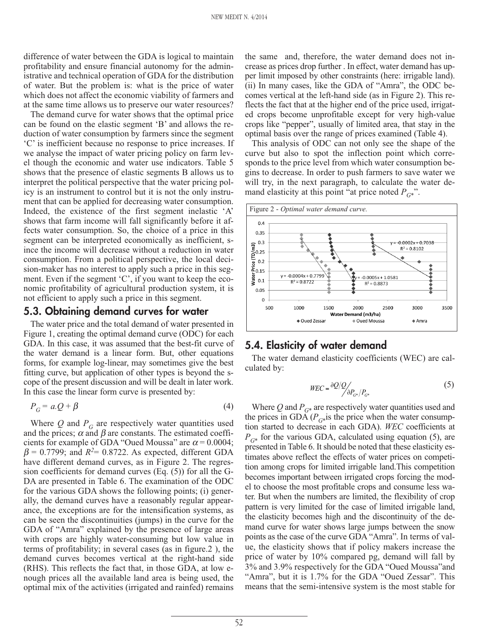difference of water between the GDA is logical to maintain profitability and ensure financial autonomy for the administrative and technical operation of GDA for the distribution of water. But the problem is: what is the price of water which does not affect the economic viability of farmers and at the same time allows us to preserve our water resources?

The demand curve for water shows that the optimal price can be found on the elastic segment 'B' and allows the reduction of water consumption by farmers since the segment 'C' is inefficient because no response to price increases. If we analyse the impact of water pricing policy on farm level though the economic and water use indicators. Table 5 shows that the presence of elastic segments B allows us to interpret the political perspective that the water pricing policy is an instrument to control but it is not the only instrument that can be applied for decreasing water consumption. Indeed, the existence of the first segment inelastic 'A' shows that farm income will fall significantly before it affects water consumption. So, the choice of a price in this segment can be interpreted economically as inefficient, since the income will decrease without a reduction in water consumption. From a political perspective, the local decision-maker has no interest to apply such a price in this segment. Even if the segment 'C', if you want to keep the economic profitability of agricultural production system, it is not efficient to apply such a price in this segment.

#### **5.3. Obtaining demand curves for water**

The water price and the total demand of water presented in Figure 1, creating the optimal demand curve (ODC) for each GDA. In this case, it was assumed that the best-fit curve of the water demand is a linear form. But, other equations forms, for example log-linear, may sometimes give the best fitting curve, but application of other types is beyond the scope of the present discussion and will be dealt in later work. In this case the linear form curve is presented by:

$$
P_G = a \cdot Q + \beta \tag{4}
$$

Where  $Q$  and  $P_G$  are respectively water quantities used and the prices;  $\alpha$  and  $\beta$  are constants. The estimated coefficients for example of GDA "Oued Moussa" are  $\alpha$  = 0.0004;  $\beta$  = 0.7799; and  $R^2$ = 0.8722. As expected, different GDA have different demand curves, as in Figure 2. The regression coefficients for demand curves (Eq. (5)) for all the G-DA are presented in Table 6. The examination of the ODC for the various GDA shows the following points; (i) generally, the demand curves have a reasonably regular appearance, the exceptions are for the intensification systems, as can be seen the discontinuities (jumps) in the curve for the GDA of "Amra" explained by the presence of large areas with crops are highly water-consuming but low value in terms of profitability; in several cases (as in figure.2 ), the demand curves becomes vertical at the right-hand side (RHS). This reflects the fact that, in those GDA, at low enough prices all the available land area is being used, the optimal mix of the activities (irrigated and rainfed) remains the same and, therefore, the water demand does not increase as prices drop further . In effect, water demand has upper limit imposed by other constraints (here: irrigable land). (ii) In many cases, like the GDA of "Amra", the ODC becomes vertical at the left-hand side (as in Figure 2). This reflects the fact that at the higher end of the price used, irrigated crops become unprofitable except for very high-value crops like "pepper", usually of limited area, that stay in the optimal basis over the range of prices examined (Table 4).

This analysis of ODC can not only see the shape of the curve but also to spot the inflection point which corresponds to the price level from which water consumption begins to decrease. In order to push farmers to save water we will try, in the next paragraph, to calculate the water demand elasticity at this point "at price noted  $P_{G^*}$ ".



#### **5.4. Elasticity of water demand**

The water demand elasticity coefficients (WEC) are calculated by:

$$
WEC = \frac{\partial Q}{Q_{G^*}} / P_{G^*}
$$
 (5)

Where  $Q$  and  $P_{G^*}$  are respectively water quantities used and the prices in GDA  $(P_{G^*})$  is the price when the water consumption started to decrease in each GDA). *WEC* coefficients at  $P_{G*}$  for the various GDA, calculated using equation (5), are presented in Table 6. It should be noted that these elasticity estimates above reflect the effects of water prices on competition among crops for limited irrigable land.This competition becomes important between irrigated crops forcing the model to choose the most profitable crops and consume less water. But when the numbers are limited, the flexibility of crop pattern is very limited for the case of limited irrigable land, the elasticity becomes high and the discontinuity of the demand curve for water shows large jumps between the snow points as the case of the curve GDA "Amra". In terms of value, the elasticity shows that if policy makers increase the price of water by 10% compared pg, demand will fall by 3% and 3.9% respectively for the GDA "Oued Moussa"and "Amra", but it is 1.7% for the GDA "Oued Zessar". This means that the semi-intensive system is the most stable for